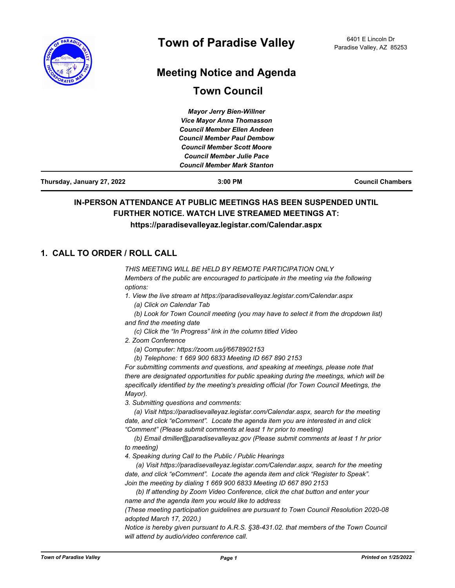

# **Meeting Notice and Agenda**

# **Town Council**

| Thursday, January 27, 2022 | $3:00$ PM                          | <b>Council Chambers</b> |
|----------------------------|------------------------------------|-------------------------|
|                            | <b>Council Member Mark Stanton</b> |                         |
|                            | <b>Council Member Julie Pace</b>   |                         |
|                            | <b>Council Member Scott Moore</b>  |                         |
|                            | <b>Council Member Paul Dembow</b>  |                         |
|                            | <b>Council Member Ellen Andeen</b> |                         |
|                            | <b>Vice Mayor Anna Thomasson</b>   |                         |
|                            | <b>Mayor Jerry Bien-Willner</b>    |                         |

## **IN-PERSON ATTENDANCE AT PUBLIC MEETINGS HAS BEEN SUSPENDED UNTIL FURTHER NOTICE. WATCH LIVE STREAMED MEETINGS AT: https://paradisevalleyaz.legistar.com/Calendar.aspx**

## **1. CALL TO ORDER / ROLL CALL**

*THIS MEETING WILL BE HELD BY REMOTE PARTICIPATION ONLY Members of the public are encouraged to participate in the meeting via the following options:*

*1. View the live stream at https://paradisevalleyaz.legistar.com/Calendar.aspx (a) Click on Calendar Tab*

 *(b) Look for Town Council meeting (you may have to select it from the dropdown list) and find the meeting date*

- *(c) Click the "In Progress" link in the column titled Video*
- *2. Zoom Conference* 
	- *(a) Computer: https://zoom.us/j/6678902153*
	- *(b) Telephone: 1 669 900 6833 Meeting ID 667 890 2153*

*For submitting comments and questions, and speaking at meetings, please note that there are designated opportunities for public speaking during the meetings, which will be specifically identified by the meeting's presiding official (for Town Council Meetings, the Mayor).*

*3. Submitting questions and comments:*

 *(a) Visit https://paradisevalleyaz.legistar.com/Calendar.aspx, search for the meeting date, and click "eComment". Locate the agenda item you are interested in and click "Comment" (Please submit comments at least 1 hr prior to meeting)*

 *(b) Email dmiller@paradisevalleyaz.gov (Please submit comments at least 1 hr prior to meeting)*

*4. Speaking during Call to the Public / Public Hearings*

 *(a) Visit https://paradisevalleyaz.legistar.com/Calendar.aspx, search for the meeting date, and click "eComment". Locate the agenda item and click "Register to Speak". Join the meeting by dialing 1 669 900 6833 Meeting ID 667 890 2153* 

 *(b) If attending by Zoom Video Conference, click the chat button and enter your name and the agenda item you would like to address*

*(These meeting participation guidelines are pursuant to Town Council Resolution 2020-08 adopted March 17, 2020.)*

*Notice is hereby given pursuant to A.R.S. §38-431.02. that members of the Town Council will attend by audio/video conference call.*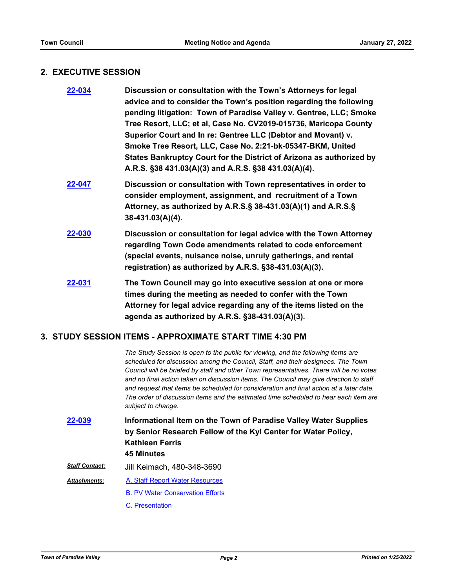#### **2. EXECUTIVE SESSION**

| 22-034 | Discussion or consultation with the Town's Attorneys for legal<br>advice and to consider the Town's position regarding the following<br>pending litigation: Town of Paradise Valley v. Gentree, LLC; Smoke<br>Tree Resort, LLC; et al, Case No. CV2019-015736, Maricopa County<br>Superior Court and In re: Gentree LLC (Debtor and Movant) v.<br>Smoke Tree Resort, LLC, Case No. 2:21-bk-05347-BKM, United<br>States Bankruptcy Court for the District of Arizona as authorized by<br>A.R.S. §38 431.03(A)(3) and A.R.S. §38 431.03(A)(4). |
|--------|----------------------------------------------------------------------------------------------------------------------------------------------------------------------------------------------------------------------------------------------------------------------------------------------------------------------------------------------------------------------------------------------------------------------------------------------------------------------------------------------------------------------------------------------|
| 22-047 | Discussion or consultation with Town representatives in order to<br>consider employment, assignment, and recruitment of a Town<br>Attorney, as authorized by A.R.S.§ 38-431.03(A)(1) and A.R.S.§<br>$38-431.03(A)(4)$ .                                                                                                                                                                                                                                                                                                                      |
| 22-030 | Discussion or consultation for legal advice with the Town Attorney<br>regarding Town Code amendments related to code enforcement<br>(special events, nuisance noise, unruly gatherings, and rental<br>registration) as authorized by A.R.S. §38-431.03(A)(3).                                                                                                                                                                                                                                                                                |
| 22-031 | The Town Council may go into executive session at one or more<br>times during the meeting as needed to confer with the Town<br>Attorney for legal advice regarding any of the items listed on the<br>agenda as authorized by A.R.S. §38-431.03(A)(3).                                                                                                                                                                                                                                                                                        |

## **3. STUDY SESSION ITEMS - APPROXIMATE START TIME 4:30 PM**

*The Study Session is open to the public for viewing, and the following items are scheduled for discussion among the Council, Staff, and their designees. The Town Council will be briefed by staff and other Town representatives. There will be no votes and no final action taken on discussion items. The Council may give direction to staff and request that items be scheduled for consideration and final action at a later date. The order of discussion items and the estimated time scheduled to hear each item are subject to change.*

**Informational Item on the Town of Paradise Valley Water Supplies by Senior Research Fellow of the Kyl Center for Water Policy, Kathleen Ferris 45 Minutes [22-039](http://paradisevalleyaz.legistar.com/gateway.aspx?m=l&id=/matter.aspx?key=4137)** *Staff Contact:* Jill Keimach, 480-348-3690 [A. Staff Report Water Resources](http://paradisevalleyaz.legistar.com/gateway.aspx?M=F&ID=a50e4a84-b312-4451-896b-a3adf37b4687.docx) [B. PV Water Conservation Efforts](http://paradisevalleyaz.legistar.com/gateway.aspx?M=F&ID=cd1b7109-4c63-4295-aec0-68d07601b4ce.docx) [C. Presentation](http://paradisevalleyaz.legistar.com/gateway.aspx?M=F&ID=cd9dd050-94bc-430c-9749-4543542763d3.pptx) *Attachments:*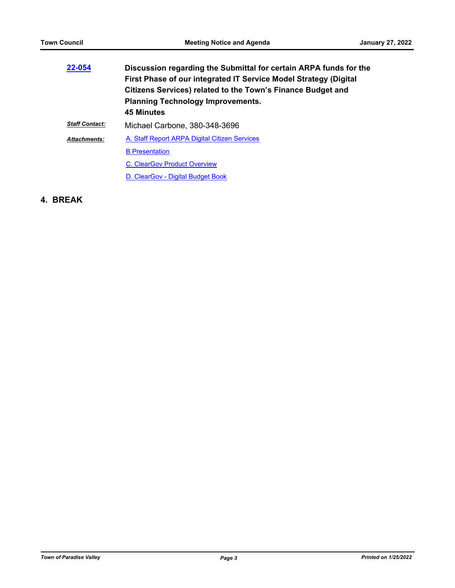| 22-054                | Discussion regarding the Submittal for certain ARPA funds for the<br>First Phase of our integrated IT Service Model Strategy (Digital<br>Citizens Services) related to the Town's Finance Budget and<br><b>Planning Technology Improvements.</b><br><b>45 Minutes</b> |
|-----------------------|-----------------------------------------------------------------------------------------------------------------------------------------------------------------------------------------------------------------------------------------------------------------------|
| <b>Staff Contact:</b> | Michael Carbone, 380-348-3696                                                                                                                                                                                                                                         |
| <b>Attachments:</b>   | A. Staff Report ARPA Digital Citizen Services                                                                                                                                                                                                                         |
|                       | <b>B</b> Presentation                                                                                                                                                                                                                                                 |
|                       | <b>C. ClearGov Product Overview</b>                                                                                                                                                                                                                                   |
|                       | D. ClearGov - Digital Budget Book                                                                                                                                                                                                                                     |

**4. BREAK**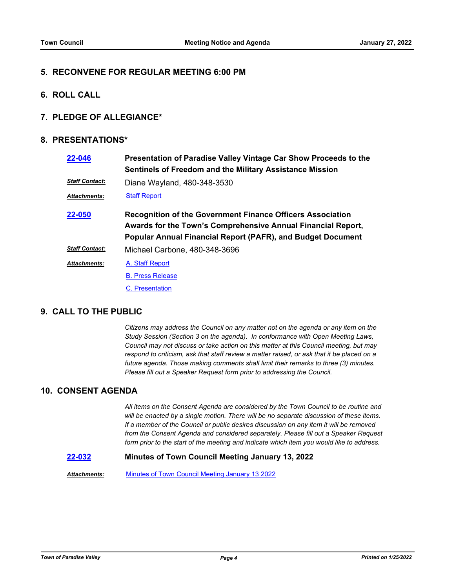#### **5. RECONVENE FOR REGULAR MEETING 6:00 PM**

**6. ROLL CALL**

#### **7. PLEDGE OF ALLEGIANCE\***

#### **8. PRESENTATIONS\***

| 22-046                | Presentation of Paradise Valley Vintage Car Show Proceeds to the<br>Sentinels of Freedom and the Military Assistance Mission                                                                            |
|-----------------------|---------------------------------------------------------------------------------------------------------------------------------------------------------------------------------------------------------|
| <b>Staff Contact:</b> | Diane Wayland, 480-348-3530                                                                                                                                                                             |
| Attachments:          | <b>Staff Report</b>                                                                                                                                                                                     |
| 22-050                | <b>Recognition of the Government Finance Officers Association</b><br>Awards for the Town's Comprehensive Annual Financial Report,<br><b>Popular Annual Financial Report (PAFR), and Budget Document</b> |
| <b>Staff Contact:</b> | Michael Carbone, 480-348-3696                                                                                                                                                                           |
| Attachments:          | A. Staff Report                                                                                                                                                                                         |
|                       | <b>B. Press Release</b>                                                                                                                                                                                 |
|                       | C. Presentation                                                                                                                                                                                         |

## **9. CALL TO THE PUBLIC**

*Citizens may address the Council on any matter not on the agenda or any item on the Study Session (Section 3 on the agenda). In conformance with Open Meeting Laws, Council may not discuss or take action on this matter at this Council meeting, but may respond to criticism, ask that staff review a matter raised, or ask that it be placed on a future agenda. Those making comments shall limit their remarks to three (3) minutes. Please fill out a Speaker Request form prior to addressing the Council.*

#### **10. CONSENT AGENDA**

*All items on the Consent Agenda are considered by the Town Council to be routine and will be enacted by a single motion. There will be no separate discussion of these items. If a member of the Council or public desires discussion on any item it will be removed from the Consent Agenda and considered separately. Please fill out a Speaker Request form prior to the start of the meeting and indicate which item you would like to address.*

#### **[22-032](http://paradisevalleyaz.legistar.com/gateway.aspx?m=l&id=/matter.aspx?key=4130) Minutes of Town Council Meeting January 13, 2022**

*Attachments:* [Minutes of Town Council Meeting January 13 2022](http://paradisevalleyaz.legistar.com/gateway.aspx?M=F&ID=b84c569c-7490-44c9-b388-3dcf8e221981.pdf)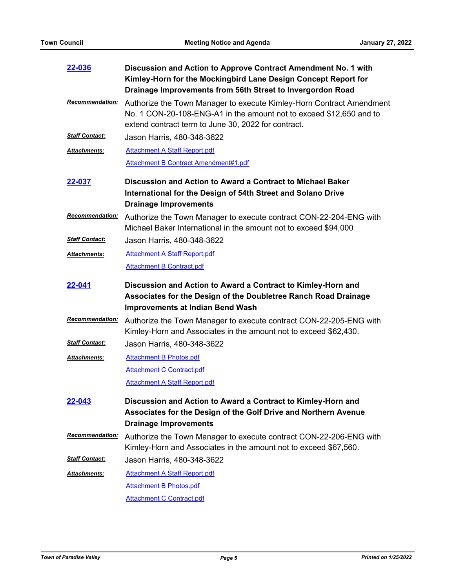| 22-036                 | Discussion and Action to Approve Contract Amendment No. 1 with<br>Kimley-Horn for the Mockingbird Lane Design Concept Report for<br>Drainage Improvements from 56th Street to Invergordon Road     |
|------------------------|----------------------------------------------------------------------------------------------------------------------------------------------------------------------------------------------------|
| <b>Recommendation:</b> | Authorize the Town Manager to execute Kimley-Horn Contract Amendment<br>No. 1 CON-20-108-ENG-A1 in the amount not to exceed \$12,650 and to<br>extend contract term to June 30, 2022 for contract. |
| <b>Staff Contact:</b>  | Jason Harris, 480-348-3622                                                                                                                                                                         |
| Attachments:           | <b>Attachment A Staff Report.pdf</b>                                                                                                                                                               |
|                        | <b>Attachment B Contract Amendment#1.pdf</b>                                                                                                                                                       |
| <u>22-037</u>          | Discussion and Action to Award a Contract to Michael Baker<br>International for the Design of 54th Street and Solano Drive<br><b>Drainage Improvements</b>                                         |
| <b>Recommendation:</b> | Authorize the Town Manager to execute contract CON-22-204-ENG with<br>Michael Baker International in the amount not to exceed \$94,000                                                             |
| <b>Staff Contact:</b>  | Jason Harris, 480-348-3622                                                                                                                                                                         |
| Attachments:           | <b>Attachment A Staff Report.pdf</b>                                                                                                                                                               |
|                        | <b>Attachment B Contract.pdf</b>                                                                                                                                                                   |
| 22-041                 | Discussion and Action to Award a Contract to Kimley-Horn and<br>Associates for the Design of the Doubletree Ranch Road Drainage<br><b>Improvements at Indian Bend Wash</b>                         |
| <b>Recommendation:</b> | Authorize the Town Manager to execute contract CON-22-205-ENG with<br>Kimley-Horn and Associates in the amount not to exceed \$62,430.                                                             |
| <b>Staff Contact:</b>  | Jason Harris, 480-348-3622                                                                                                                                                                         |
| <b>Attachments:</b>    | <b>Attachment B Photos.pdf</b>                                                                                                                                                                     |
|                        | <b>Attachment C Contract.pdf</b>                                                                                                                                                                   |
|                        | <b>Attachment A Staff Report.pdf</b>                                                                                                                                                               |
| 22-043                 | Discussion and Action to Award a Contract to Kimley-Horn and<br>Associates for the Design of the Golf Drive and Northern Avenue<br><b>Drainage Improvements</b>                                    |
| <b>Recommendation:</b> | Authorize the Town Manager to execute contract CON-22-206-ENG with<br>Kimley-Horn and Associates in the amount not to exceed \$67,560.                                                             |
| <b>Staff Contact:</b>  | Jason Harris, 480-348-3622                                                                                                                                                                         |
| Attachments:           | <b>Attachment A Staff Report.pdf</b>                                                                                                                                                               |
|                        | <b>Attachment B Photos.pdf</b>                                                                                                                                                                     |
|                        | <b>Attachment C Contract.pdf</b>                                                                                                                                                                   |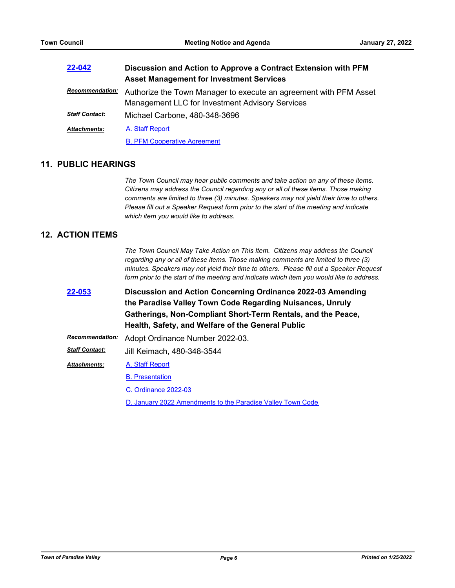| 22-042                 | Discussion and Action to Approve a Contract Extension with PFM                                                       |  |
|------------------------|----------------------------------------------------------------------------------------------------------------------|--|
|                        | <b>Asset Management for Investment Services</b>                                                                      |  |
| <b>Recommendation:</b> | Authorize the Town Manager to execute an agreement with PFM Asset<br>Management LLC for Investment Advisory Services |  |
| <b>Staff Contact:</b>  | Michael Carbone, 480-348-3696                                                                                        |  |
| <b>Attachments:</b>    | A. Staff Report                                                                                                      |  |
|                        | <b>B. PFM Cooperative Agreement</b>                                                                                  |  |

### **11. PUBLIC HEARINGS**

*The Town Council may hear public comments and take action on any of these items. Citizens may address the Council regarding any or all of these items. Those making comments are limited to three (3) minutes. Speakers may not yield their time to others. Please fill out a Speaker Request form prior to the start of the meeting and indicate which item you would like to address.*

## **12. ACTION ITEMS**

*The Town Council May Take Action on This Item. Citizens may address the Council regarding any or all of these items. Those making comments are limited to three (3) minutes. Speakers may not yield their time to others. Please fill out a Speaker Request form prior to the start of the meeting and indicate which item you would like to address.*

**Discussion and Action Concerning Ordinance 2022-03 Amending the Paradise Valley Town Code Regarding Nuisances, Unruly Gatherings, Non-Compliant Short-Term Rentals, and the Peace, Health, Safety, and Welfare of the General Public [22-053](http://paradisevalleyaz.legistar.com/gateway.aspx?m=l&id=/matter.aspx?key=4151)**

|                        | Recommendation: Adopt Ordinance Number 2022-03. |
|------------------------|-------------------------------------------------|
| <u> Staff Contact:</u> | Jill Keimach, 480-348-3544                      |
| Attachments:           | A. Staff Report                                 |
|                        | <b>B.</b> Presentation                          |
|                        | C. Ordinance 2022-03                            |

[D. January 2022 Amendments to the Paradise Valley Town Code](http://paradisevalleyaz.legistar.com/gateway.aspx?M=F&ID=f453b46a-fb90-46e9-a0d7-acb7cac89b86.pdf)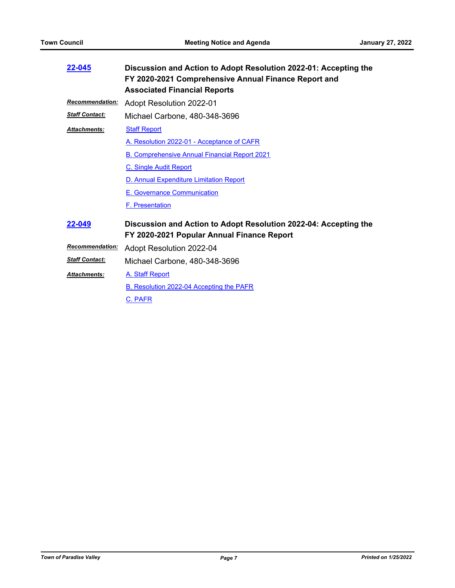| 22-045                 | Discussion and Action to Adopt Resolution 2022-01: Accepting the<br>FY 2020-2021 Comprehensive Annual Finance Report and<br><b>Associated Financial Reports</b> |
|------------------------|-----------------------------------------------------------------------------------------------------------------------------------------------------------------|
| <b>Recommendation:</b> | Adopt Resolution 2022-01                                                                                                                                        |
| <b>Staff Contact:</b>  | Michael Carbone, 480-348-3696                                                                                                                                   |
| <b>Attachments:</b>    | <b>Staff Report</b>                                                                                                                                             |
|                        | A. Resolution 2022-01 - Acceptance of CAFR                                                                                                                      |
|                        | <b>B. Comprehensive Annual Financial Report 2021</b>                                                                                                            |
|                        | <b>C. Single Audit Report</b>                                                                                                                                   |
|                        | D. Annual Expenditure Limitation Report                                                                                                                         |
|                        | E. Governance Communication                                                                                                                                     |
|                        | <b>F.</b> Presentation                                                                                                                                          |
| 22-049                 | Discussion and Action to Adopt Resolution 2022-04: Accepting the<br>FY 2020-2021 Popular Annual Finance Report                                                  |
| <b>Recommendation:</b> | Adopt Resolution 2022-04                                                                                                                                        |
| <b>Staff Contact:</b>  | Michael Carbone, 480-348-3696                                                                                                                                   |
| <b>Attachments:</b>    | A. Staff Report                                                                                                                                                 |
|                        | B. Resolution 2022-04 Accepting the PAFR                                                                                                                        |
|                        | C. PAFR                                                                                                                                                         |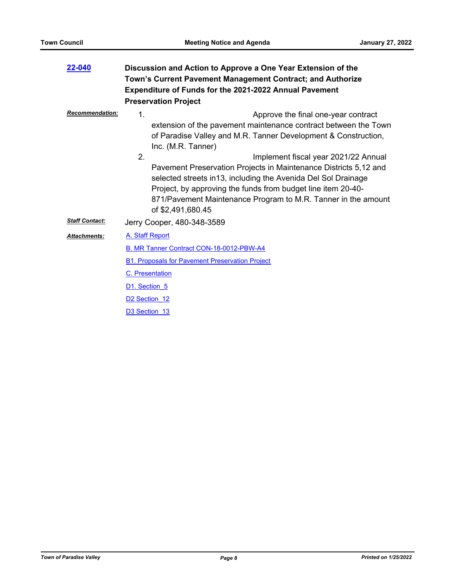| 22-040                 | Discussion and Action to Approve a One Year Extension of the<br>Town's Current Pavement Management Contract; and Authorize<br><b>Expenditure of Funds for the 2021-2022 Annual Pavement</b>                                                                                                                                                        |
|------------------------|----------------------------------------------------------------------------------------------------------------------------------------------------------------------------------------------------------------------------------------------------------------------------------------------------------------------------------------------------|
|                        | <b>Preservation Project</b>                                                                                                                                                                                                                                                                                                                        |
| <b>Recommendation:</b> | $\mathbf 1$ .<br>Approve the final one-year contract<br>extension of the pavement maintenance contract between the Town<br>of Paradise Valley and M.R. Tanner Development & Construction,<br>Inc. (M.R. Tanner)                                                                                                                                    |
|                        | 2 <sub>1</sub><br>Implement fiscal year 2021/22 Annual<br>Pavement Preservation Projects in Maintenance Districts 5,12 and<br>selected streets in 13, including the Avenida Del Sol Drainage<br>Project, by approving the funds from budget line item 20-40-<br>871/Pavement Maintenance Program to M.R. Tanner in the amount<br>of \$2,491,680.45 |
| <b>Staff Contact:</b>  | Jerry Cooper, 480-348-3589                                                                                                                                                                                                                                                                                                                         |
| <b>Attachments:</b>    | A. Staff Report                                                                                                                                                                                                                                                                                                                                    |
|                        | B. MR Tanner Contract CON-18-0012-PBW-A4                                                                                                                                                                                                                                                                                                           |
|                        | <b>B1. Proposals for Pavement Preservation Project</b>                                                                                                                                                                                                                                                                                             |
|                        | C. Presentation                                                                                                                                                                                                                                                                                                                                    |
|                        | D1. Section 5                                                                                                                                                                                                                                                                                                                                      |
|                        | D <sub>2</sub> Section 12                                                                                                                                                                                                                                                                                                                          |
|                        | D <sub>3</sub> Section 13                                                                                                                                                                                                                                                                                                                          |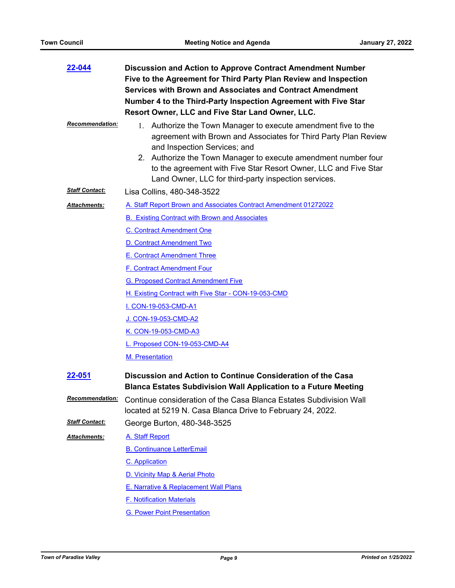| 22-044                 | Discussion and Action to Approve Contract Amendment Number<br>Five to the Agreement for Third Party Plan Review and Inspection<br><b>Services with Brown and Associates and Contract Amendment</b><br>Number 4 to the Third-Party Inspection Agreement with Five Star<br>Resort Owner, LLC and Five Star Land Owner, LLC.                                      |  |
|------------------------|----------------------------------------------------------------------------------------------------------------------------------------------------------------------------------------------------------------------------------------------------------------------------------------------------------------------------------------------------------------|--|
| <b>Recommendation:</b> | 1. Authorize the Town Manager to execute amendment five to the<br>agreement with Brown and Associates for Third Party Plan Review<br>and Inspection Services; and<br>2. Authorize the Town Manager to execute amendment number four<br>to the agreement with Five Star Resort Owner, LLC and Five Star<br>Land Owner, LLC for third-party inspection services. |  |
| <b>Staff Contact:</b>  | Lisa Collins, 480-348-3522                                                                                                                                                                                                                                                                                                                                     |  |
| Attachments:           | A. Staff Report Brown and Associates Contract Amendment 01272022                                                                                                                                                                                                                                                                                               |  |
|                        | <b>B. Existing Contract with Brown and Associates</b>                                                                                                                                                                                                                                                                                                          |  |
|                        | C. Contract Amendment One                                                                                                                                                                                                                                                                                                                                      |  |
|                        | D. Contract Amendment Two                                                                                                                                                                                                                                                                                                                                      |  |
|                        | E. Contract Amendment Three                                                                                                                                                                                                                                                                                                                                    |  |
|                        | F. Contract Amendment Four                                                                                                                                                                                                                                                                                                                                     |  |
|                        | <b>G. Proposed Contract Amendment Five</b>                                                                                                                                                                                                                                                                                                                     |  |
|                        | H. Existing Contract with Five Star - CON-19-053-CMD                                                                                                                                                                                                                                                                                                           |  |
|                        | I. CON-19-053-CMD-A1                                                                                                                                                                                                                                                                                                                                           |  |
|                        | <u>J. CON-19-053-CMD-A2</u>                                                                                                                                                                                                                                                                                                                                    |  |
|                        | K. CON-19-053-CMD-A3                                                                                                                                                                                                                                                                                                                                           |  |
|                        | L. Proposed CON-19-053-CMD-A4                                                                                                                                                                                                                                                                                                                                  |  |
|                        | M. Presentation                                                                                                                                                                                                                                                                                                                                                |  |
| 22-051                 | Discussion and Action to Continue Consideration of the Casa<br><b>Blanca Estates Subdivision Wall Application to a Future Meeting</b>                                                                                                                                                                                                                          |  |
| <b>Recommendation:</b> | Continue consideration of the Casa Blanca Estates Subdivision Wall<br>located at 5219 N. Casa Blanca Drive to February 24, 2022.                                                                                                                                                                                                                               |  |
| <b>Staff Contact:</b>  | George Burton, 480-348-3525                                                                                                                                                                                                                                                                                                                                    |  |
| Attachments:           | A. Staff Report                                                                                                                                                                                                                                                                                                                                                |  |
|                        | <b>B. Continuance LetterEmail</b>                                                                                                                                                                                                                                                                                                                              |  |
|                        | <b>C.</b> Application                                                                                                                                                                                                                                                                                                                                          |  |
|                        | D. Vicinity Map & Aerial Photo                                                                                                                                                                                                                                                                                                                                 |  |
|                        | E. Narrative & Replacement Wall Plans                                                                                                                                                                                                                                                                                                                          |  |
|                        | <b>F. Notification Materials</b>                                                                                                                                                                                                                                                                                                                               |  |
|                        | <b>G. Power Point Presentation</b>                                                                                                                                                                                                                                                                                                                             |  |